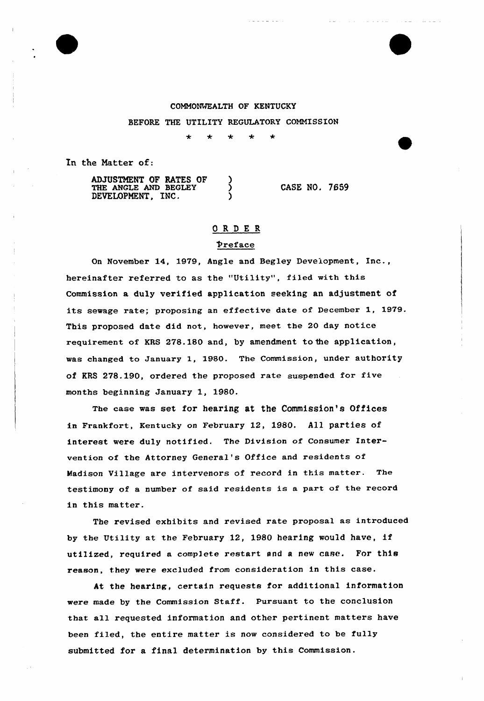# COMMONWEALTH OF KENTUCKY

BEFORE THE UTILITY REGULATORY COMNISSION

 $\star$  $\star$  $\star$  $\mathbf{d}_\mathbf{r}$  $\ddot{\bullet}$ 

In the Natter of:

| <b>ADJUSTMENT OF RATES OF</b> |  |
|-------------------------------|--|
| THE ANGLE AND BEGLEY          |  |
| DEVELOPMENT. INC.             |  |

CASE NO. 7659

# ORDER

## preface

On November 14, 1979, Angle and Begley Development, Inc., hereinafter referred to as the "Utility", filed with this Commission a duly verified application seeking an adjustment of its sewage rate; proposing an effective date of December 1, 1979. This proposed date did not, however, meet the 20 day notice requirement of KRS 278.180 and, by amendment to the application, was changed to January 1, 1980. The Commission, under authority of KRS 278.190, ordered the proposed rate suspended for five months beginning January 1, 1980.

The case was set for hearing at the Commission's Offices in Frankfort, Kentucky on February 12, 1980. All parties of interest were duly notified. The Division of Consumer Intervention of the Attorney General's Office and residents of Madison Village are intervenors of record in this matter. The testimony of a number of said residents is a part of the record in this matter.

The revised exhibits and revised rate proposal as introduced by the Utility at the February 12, 1980 hearing would have, if utilized, required a complete restart and a new case. For this reason, they were excluded from consideration in this case.

At the hearing, certain requests for additional information were made by the Commission Staff. Pursuant to the conclusion that all requested information and other pertinent matters have been filed, the entire matter is now considered to be fully submitted for a final determination by this Commission.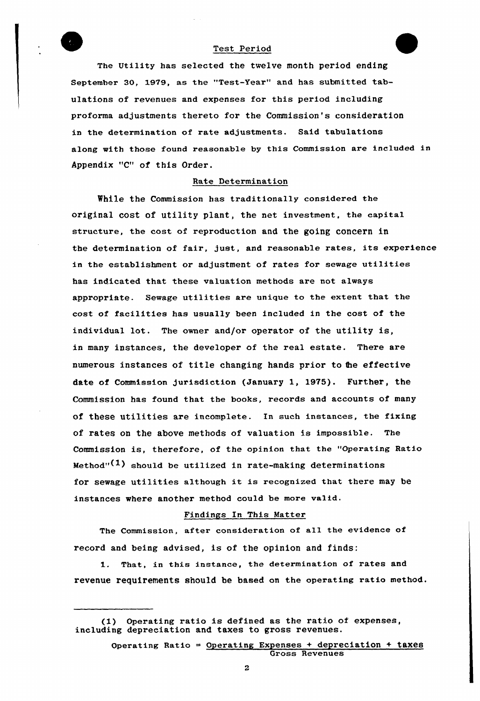#### Test Period

The Utility has selected the twelve month period ending September 30, 1979, as the "Test-Year" and has submitted tabulations of revenues and expenses for this period including proforma adjustments thereto for the Commission's consideration in the determination of rate adjustments. Said tabulations along with those found reasonable by this Commission are included in Appendix "C" of this Order.

### Rate Determination

While the Commission has traditionally considered the original cost of utility plant, the net investment, the capita1 structure, the cost of reproduction and the going concern in the determination of fair, just, and reasonable rates, its experience in the establishment or adjustment of rates for sewage utilities has indicated that these valuation methods are not always appropriate. Sewage utilities are unique to the extent that the cost of facilities has usually been included in the cost of the individual lot. The owner and/or operator of the utility is, in many instances, the developer of the real estate. There are numerous instances of title changing hands prior to the effective date of Commission jurisdiction (January 1, 1975). Further, the Commission has found that the books, records and accounts of many of these utilities are incomplete. In such instances, the fixing of rates on the above methods of valuation is impossible. The Commission is, therefore, of the opinion that the "Operating Ratio Method" $(1)$  should be utilized in rate-making determinations for sewage utilities although it is recognized that there may be instances where another method could be more valid.

## Findings In This Matter

The Commission, after consideration of all the evidence of record and being advised, is of the opinion and finds:

That, in this instance, the determination of rates and 1. revenue requirements should be based on the operating ratio method.

 $\overline{2}$ 

<sup>(1)</sup> Operating ratio is defined as the ratio of expenses, including depreciation and taxes to gross revenues.

Operating Ratio = Operating Expenses + depreciation + taxes Gross Revenues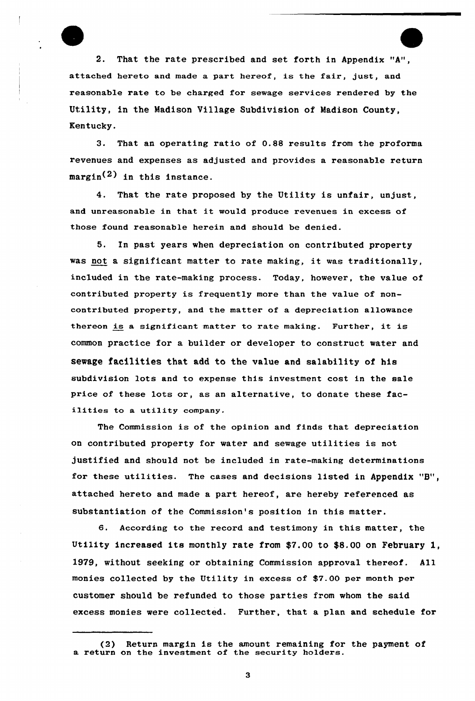

2. That the rate prescribed and set forth in Appendix "A", attached hereto and made a part hereof, is the fair, just, and reasonable rate to be charged for sewage sexvices rendered by the Utility, in the Madison Uillage Subdivision of Madison County, Kentucky.

3. That an operating ratio of 0.88 results from the proforma revenues and expenses as adjusted and provides a reasonable return  $margin<sup>(2)</sup>$  in this instance.

4. That the rate proposed by the Utility is unfair, unjust, and unreasonable in that it would produce revenues in excess of those found reasonable herein and should be denied.

5. In past years when depreciation on contributed property was not a significant matter to rate making, it was traditionally, included in the rate-making process. Today, however, the value of contributed property is frequently more than the value of noncontributed property, and the matter of a depreciation allowance thereon is <sup>a</sup> significant matter to rate making. Further, it is common practice for a builder or developer to construct water and sewage facilities that add to the value and salability of his subdivision lots and to expense this investment cost in the sale price of these lots or, as an alternative, to donate these facilities to <sup>a</sup> utility company.

The Commission is of the opinion and finds that depreciation on contributed property for water and sewage utilities is not justified and should not be included in rate-making determinations for these utilities. The cases and decisions listed in Appendix "B", attached hereto and made a part hereof, are hereby referenced as substantiation of the Commission's position in this matter.

6. According to the record and testimony in this matter, the Utility increased its monthly rate from \$7.00 to \$8.00 on February 1, l979, without seeking or obtaining Commission approval thereof. All monies collected by the Utility in excess of \$7.00 per month per customer should be refunded to those parties from whom the said excess monies wexe collected. Further, that a plan and schedule fox

3

<sup>(2)</sup> Return margin is the amount remaining for the payment of a return on the investment of the security holders.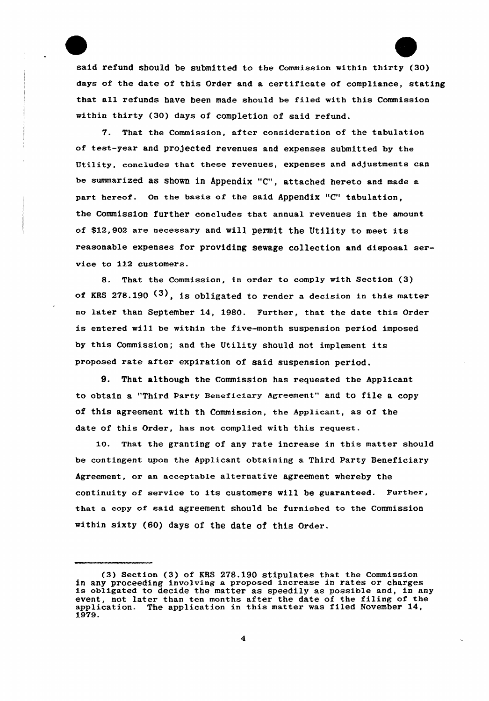said refund should be submitted to the Commission within thirty (30) days of the date of this Order and a certificate of compliance, stating that all refunds have been made should be filed with this Commission within thirty (30) days of completion of said refund.

7. That the Commission, after consideration of the tabulation of test-year and pro)ected revenues and expenses submitted by the Utility, concludes that these revenues, expenses and adjustments can be summarized as shown in Appendix "C", attached hereto and made a part hereof. On the basis of the said Appendix "C" tabulation, the Commission further concludes that annual revenues in the amount of \$12,902 are necessary and will permit the Utility to meet its reasonable expenses fox providing sewage collection and disposal service to 112 customers.

8. That the Commission, in order to comply with Section (3) of KRS 278.190  $(3)$ , is obligated to render a decision in this matter no later than September 14, 1980. Further, that the date this Order is entered will be within the five-month suspension period imposed by this Commission; and the Utility should not implement its proposed rate after expiration of said suspension period.

9. That although the Commission has requested the Applicant to obtain a "Third Party Beneficiary Agreement" and to file a copy of this agreement with th Commission, the Applicant, as of the date of this Order, has not complied with this request.

1O. That the granting of any rate increase in this matter should be contingent upon the Applicant obtaining a Third Party Beneficiary Agreement, or an acceptable alternative agreement whereby the continuity of service to its customers will be guaranteed. Further, that a copy of said agreement should be furnished to the Commission within sixty (60) days of the date of this Order.

<sup>(3)</sup> Section (3) of EBS 278.190 stipulates that the Commission in any proceeding involving a proposed increase in rates or charges is obligated to decide the matter as speedily as possible and, in any event, not later than ten months after the date of the filing of the application. The application in this matter was filed November 14, 1979.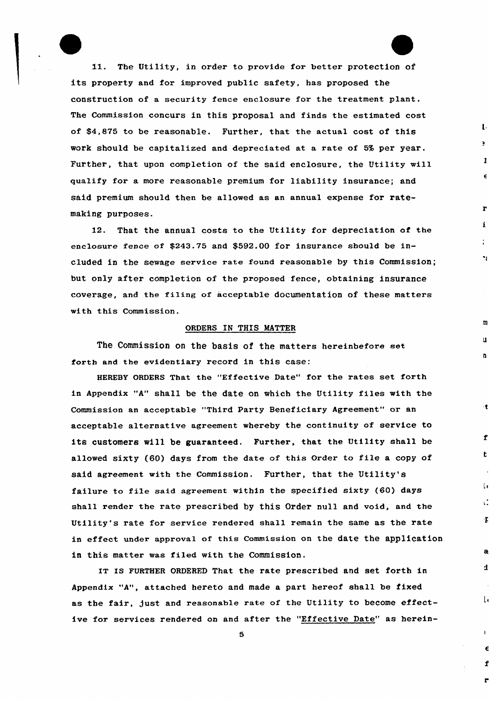11. The Utility, in order to provide for better protection of its property and for improved public safety, has proposed the construction of a security fence enclosure for the treatment plant. The Commission concurs in this proposal and finds the estimated cost of \$4,875 to be reasonable. Further, that the actual cost of this work should be capitalized and depreciated at a rate of 5% per year. Further, that upon completion of the said enclosure, the Utility will qualify for a more reasonable premium for liability insurance; and said premium should then be allowed as an annual expense for ratemaking purposes.

 $\mathbf{L}$ 

 $\mathbf{r}$ 

 $\epsilon$ 

 $\mathbf{r}$ 

 $\mathbf i$ 

 $\mathbf{H}$ 

 $\mathbf{B}$ 

b.

 $\mathbf{r}$ 

 $\mathbf{f}$ 

 $\mathbf{t}$ 

 $\mathbf{u}$ 

τÎ

 $\mathbf T$ 

 $\mathbf{d}$ 

 $\mathbf{I}$ 

12. That the annual costs to the Utility for depreciation of the enclosure fence of \$243.75 and \$592.00 for insurance should be included in the sewage service rate found reasonable by this Commission; but only after completion of the proposed fence, obtaining insurance coverage, and the filing of acceptable documentation of these matters with this Commission.

### ORDERS IN THIS MATTER

The Commission on the basis of the matters hereinbefore set forth and the evidentiary record in this case:

HEREBY ORDERS That the "Effective Date" for the rates set forth in Appendix "A" shall be the date on which the Utility files with the Commission an acceptable "Third Party Beneficiary Agreement" or an acceptable alternative agreement whereby the continuity of service to its customers will be guaranteed. Further, that the Utility shall be allowed sixty (60} days from the date of this Order to file <sup>a</sup> copy of said agreement with the Commission. Further, that the Utility's failure to file said agreement within the specified sixty (60) days shall render the rate prescribed by this Order null and void, and the Utility's rate for service rendered shall remain the same as the rate in effect under approval of this Commission on the date the application in this matter was filed with the Commission.

IT IS FURTHER ORDERED That the rate prescribed and set forth in Appendix "A", attached hereto and made a part hereof shall be fixed as the fair, just and reasonable rate of the Utility to become effective for services rendered on and after the "Effective Date" as herein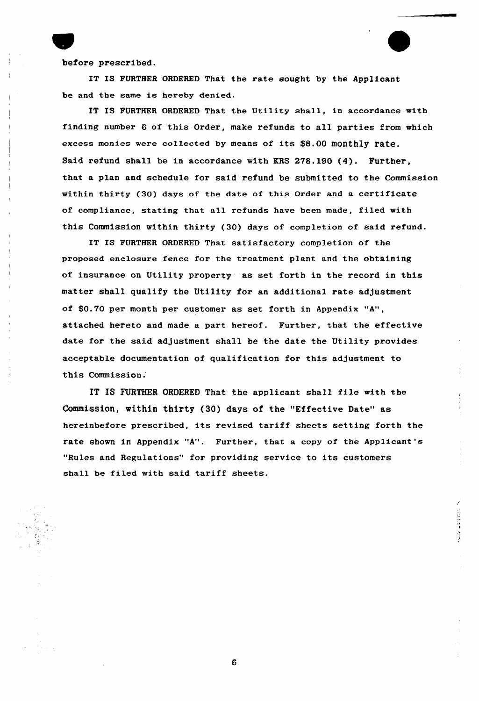before prescribed.

IT IS FURTHER ORDERED That the rate sought by the Applicant be and the same is hereby denied.

IT IS FURTHER ORDERED That the Utility shall, in accordance with finding number 6 of this Order, make refunds to all parties from which excess monies were co11ected by means of its \$8.00 mOnthly rate. Said refund shall be in accordance with KRS 278.190 (4). Further, that a plan and schedule for said refund be submitted to the Commission within thirty (30) days of the date of this Order and a certificate of compliance, stating that all refunds have been made, filed with this Commission within thirty ( 30) days of completion of said refund.

IT IS FURTHER ORDERED That satisfactory completion of the proposed enclosure fence for the treatment plant and the obtaining of insurance on Utility property" as set forth in the record in this matter shall qualify the Utility for an additional rate adjustment of \$0.70 per month per customer as set forth in Appendix "A", attached hereto and made a part hexeof. Further, that the effective date for the said adjustment shall be the date the Utility provides acceptable documentation of qualification for this adjustment to this Commission.

IT IS FURTHER ORDERED That the applicant shall file with the Commission, within thirty (30) days of the "Effective Date" as hereinbefore prescribed, its revised tariff sheets setting forth the rate shown in Appendix "A". Further, that a copy of the Applicant's "Rules and Regulations" for providing service to its customers shall be filed with said tariff sheets.

6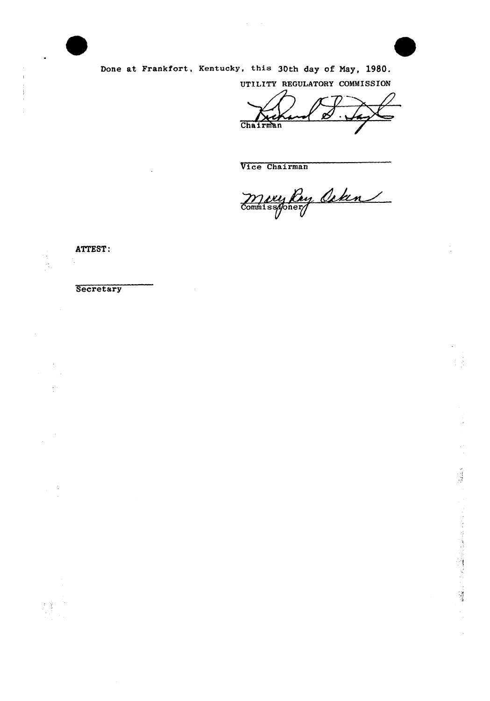

Done at Frankfort, Kentucky, this 30th day of May, 1980.

UTILITY REGULATORY COMMISSION

Chairman

Vice Chairman

Mary Roy Ceten

ATTEST:

 $\ddot{\cdot}$ 

Secretary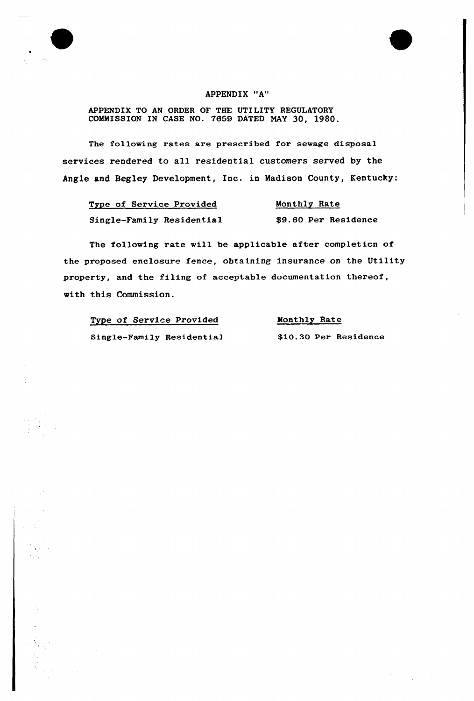## APPENDIX "A"

## APPENDIX TO AN ORDER OF THE UTILITY REGULATORY COMMISSION IN CASE NO. 7659 DATED NAY 30, 1980.

The following rates are prescribed fox sewage disposal services rendered to all residential customers served by the Angle and Begley Development, Inc. in Madison County, Kentucky:

| Type of Service Provided  | Monthly Rate         |
|---------------------------|----------------------|
| Single-Family Residential | \$9.60 Per Residence |

The following rate will be applicable after completicn of the pxoposed enclosure fence, obtaining insurance on the Utility property, and the filing of acceptable documentation thereof, with this Commission.

| Type of Service Provided  | Monthly Rate          |
|---------------------------|-----------------------|
| Single-Family Residential | \$10.30 Per Residence |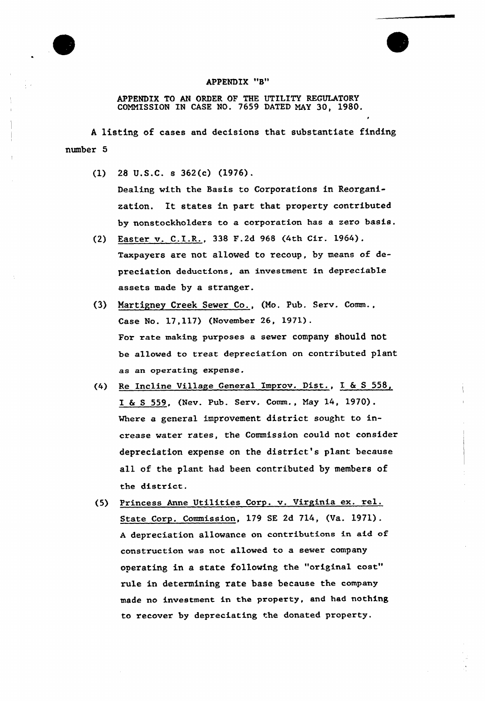

#### APPENDIX "8"

APPENDIX TO AN ORDER OF THE UTILITY REGULATORY COMMISSION IN CASE NO. 7659 DATED MAY 30, 1980.

<sup>A</sup> listing of cases and decisions that substantiate finding number 5

- {1) 28 U.S.C. s 362(c) (1976). Dealing with the Basis to Corporations in Reorganization. It states in part that propexty contributed by nonstockholders to a corporation has a zero basis.
- (2) Easter v. C.I.R., 338 F.2d <sup>968</sup> (4th Cir. 1964). Taxpayers are not allowed to recoup, by means of depreciation deductions, an investment in depreciable assets made by a stranger.
- (3) Martigney Creek Sewer Co., (Mo. Pub. Serv. Comm., Case No. 17,117) (November 26, 1971). For rate making purposes a sever company should not be al1owed to treat depreciation on contributed plant as an operating expense.
- (4) Re Incline Village General Improv. Dist., I 6 <sup>S</sup> 558, I 6 <sup>S</sup> 559, (Nev. Pub. Serv. Comm., May 14, 1970). Where a general improvement district sought to increase water rates, the Commission could not considex depreciation expense on the district's p1ant because all of the plant had been contributed by members of the district.
- (5) Princess Anne Utilities Corp. v. Vixginia ex. xel. State Corp. Commission, 179 SE 2d 714, (Va. 1971). <sup>A</sup> depreciation allowance on contributions in aid of construction was not allowed to a sever company operating in a state following the "original cost" rule in determining rate base because the company made no investment in the propexty, and had nothing to recover by depreciating the donated property.